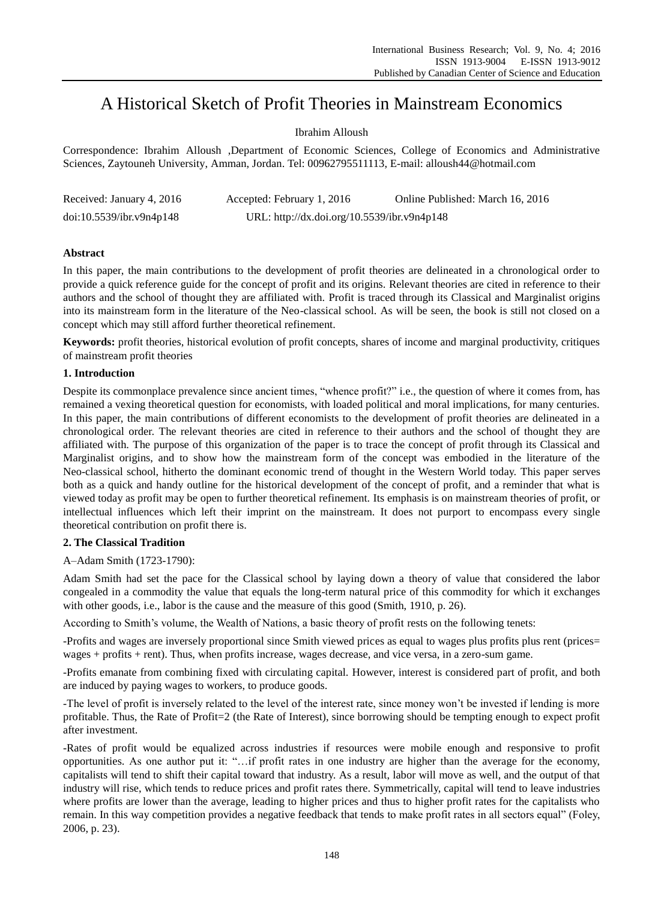# A Historical Sketch of Profit Theories in Mainstream Economics

Ibrahim Alloush

Correspondence: Ibrahim Alloush ,Department of Economic Sciences, College of Economics and Administrative Sciences, Zaytouneh University, Amman, Jordan. Tel: 00962795511113, E-mail: alloush44@hotmail.com

| Received: January 4, 2016 | Accepted: February 1, 2016                  | Online Published: March 16, 2016 |
|---------------------------|---------------------------------------------|----------------------------------|
| doi:10.5539/ibr.v9n4p148  | URL: http://dx.doi.org/10.5539/ibr.v9n4p148 |                                  |

## **Abstract**

In this paper, the main contributions to the development of profit theories are delineated in a chronological order to provide a quick reference guide for the concept of profit and its origins. Relevant theories are cited in reference to their authors and the school of thought they are affiliated with. Profit is traced through its Classical and Marginalist origins into its mainstream form in the literature of the Neo-classical school. As will be seen, the book is still not closed on a concept which may still afford further theoretical refinement.

**Keywords:** profit theories, historical evolution of profit concepts, shares of income and marginal productivity, critiques of mainstream profit theories

## **1. Introduction**

Despite its commonplace prevalence since ancient times, "whence profit?" i.e., the question of where it comes from, has remained a vexing theoretical question for economists, with loaded political and moral implications, for many centuries. In this paper, the main contributions of different economists to the development of profit theories are delineated in a chronological order. The relevant theories are cited in reference to their authors and the school of thought they are affiliated with. The purpose of this organization of the paper is to trace the concept of profit through its Classical and Marginalist origins, and to show how the mainstream form of the concept was embodied in the literature of the Neo-classical school, hitherto the dominant economic trend of thought in the Western World today. This paper serves both as a quick and handy outline for the historical development of the concept of profit, and a reminder that what is viewed today as profit may be open to further theoretical refinement. Its emphasis is on mainstream theories of profit, or intellectual influences which left their imprint on the mainstream. It does not purport to encompass every single theoretical contribution on profit there is.

## **2. The Classical Tradition**

A–Adam Smith (1723-1790):

Adam Smith had set the pace for the Classical school by laying down a theory of value that considered the labor congealed in a commodity the value that equals the long-term natural price of this commodity for which it exchanges with other goods, i.e., labor is the cause and the measure of this good (Smith, 1910, p. 26).

According to Smith's volume, the Wealth of Nations, a basic theory of profit rests on the following tenets:

-Profits and wages are inversely proportional since Smith viewed prices as equal to wages plus profits plus rent (prices= wages + profits + rent). Thus, when profits increase, wages decrease, and vice versa, in a zero-sum game.

-Profits emanate from combining fixed with circulating capital. However, interest is considered part of profit, and both are induced by paying wages to workers, to produce goods.

-The level of profit is inversely related to the level of the interest rate, since money won't be invested if lending is more profitable. Thus, the Rate of Profit=2 (the Rate of Interest), since borrowing should be tempting enough to expect profit after investment.

-Rates of profit would be equalized across industries if resources were mobile enough and responsive to profit opportunities. As one author put it: "…if profit rates in one industry are higher than the average for the economy, capitalists will tend to shift their capital toward that industry. As a result, labor will move as well, and the output of that industry will rise, which tends to reduce prices and profit rates there. Symmetrically, capital will tend to leave industries where profits are lower than the average, leading to higher prices and thus to higher profit rates for the capitalists who remain. In this way competition provides a negative feedback that tends to make profit rates in all sectors equal" (Foley, 2006, p. 23).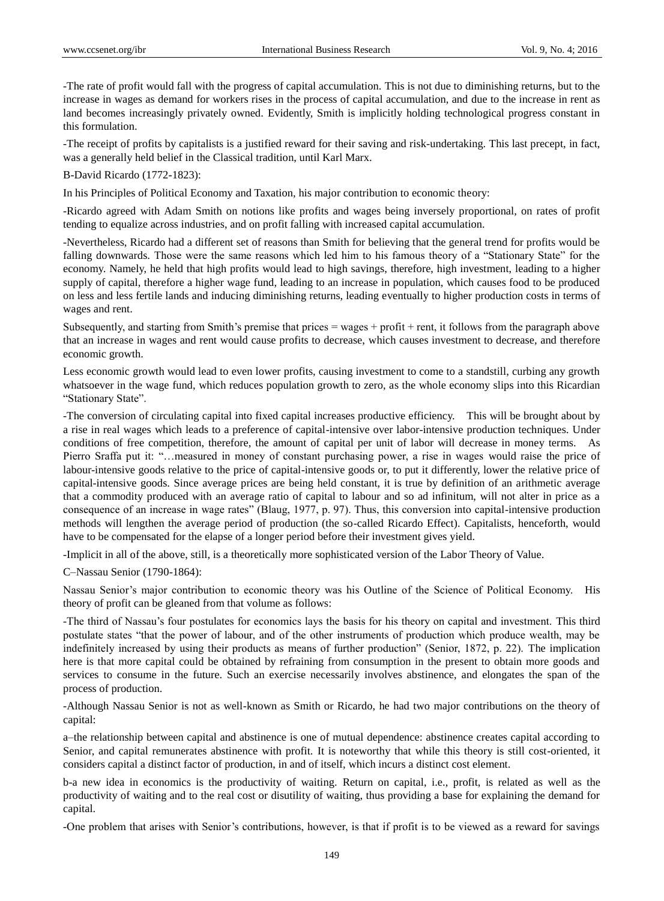-The rate of profit would fall with the progress of capital accumulation. This is not due to diminishing returns, but to the increase in wages as demand for workers rises in the process of capital accumulation, and due to the increase in rent as land becomes increasingly privately owned. Evidently, Smith is implicitly holding technological progress constant in this formulation.

-The receipt of profits by capitalists is a justified reward for their saving and risk-undertaking. This last precept, in fact, was a generally held belief in the Classical tradition, until Karl Marx.

B-David Ricardo (1772-1823):

In his Principles of Political Economy and Taxation, his major contribution to economic theory:

-Ricardo agreed with Adam Smith on notions like profits and wages being inversely proportional, on rates of profit tending to equalize across industries, and on profit falling with increased capital accumulation.

-Nevertheless, Ricardo had a different set of reasons than Smith for believing that the general trend for profits would be falling downwards. Those were the same reasons which led him to his famous theory of a "Stationary State" for the economy. Namely, he held that high profits would lead to high savings, therefore, high investment, leading to a higher supply of capital, therefore a higher wage fund, leading to an increase in population, which causes food to be produced on less and less fertile lands and inducing diminishing returns, leading eventually to higher production costs in terms of wages and rent.

Subsequently, and starting from Smith's premise that prices  $=$  wages  $+$  profit  $+$  rent, it follows from the paragraph above that an increase in wages and rent would cause profits to decrease, which causes investment to decrease, and therefore economic growth.

Less economic growth would lead to even lower profits, causing investment to come to a standstill, curbing any growth whatsoever in the wage fund, which reduces population growth to zero, as the whole economy slips into this Ricardian "Stationary State".

-The conversion of circulating capital into fixed capital increases productive efficiency. This will be brought about by a rise in real wages which leads to a preference of capital-intensive over labor-intensive production techniques. Under conditions of free competition, therefore, the amount of capital per unit of labor will decrease in money terms. As Pierro Sraffa put it: "…measured in money of constant purchasing power, a rise in wages would raise the price of labour-intensive goods relative to the price of capital-intensive goods or, to put it differently, lower the relative price of capital-intensive goods. Since average prices are being held constant, it is true by definition of an arithmetic average that a commodity produced with an average ratio of capital to labour and so ad infinitum, will not alter in price as a consequence of an increase in wage rates" (Blaug, 1977, p. 97). Thus, this conversion into capital-intensive production methods will lengthen the average period of production (the so-called Ricardo Effect). Capitalists, henceforth, would have to be compensated for the elapse of a longer period before their investment gives yield.

-Implicit in all of the above, still, is a theoretically more sophisticated version of the Labor Theory of Value.

C–Nassau Senior (1790-1864):

Nassau Senior's major contribution to economic theory was his Outline of the Science of Political Economy. His theory of profit can be gleaned from that volume as follows:

-The third of Nassau's four postulates for economics lays the basis for his theory on capital and investment. This third postulate states "that the power of labour, and of the other instruments of production which produce wealth, may be indefinitely increased by using their products as means of further production" (Senior, 1872, p. 22). The implication here is that more capital could be obtained by refraining from consumption in the present to obtain more goods and services to consume in the future. Such an exercise necessarily involves abstinence, and elongates the span of the process of production.

-Although Nassau Senior is not as well-known as Smith or Ricardo, he had two major contributions on the theory of capital:

a–the relationship between capital and abstinence is one of mutual dependence: abstinence creates capital according to Senior, and capital remunerates abstinence with profit. It is noteworthy that while this theory is still cost-oriented, it considers capital a distinct factor of production, in and of itself, which incurs a distinct cost element.

b-a new idea in economics is the productivity of waiting. Return on capital, i.e., profit, is related as well as the productivity of waiting and to the real cost or disutility of waiting, thus providing a base for explaining the demand for capital.

-One problem that arises with Senior's contributions, however, is that if profit is to be viewed as a reward for savings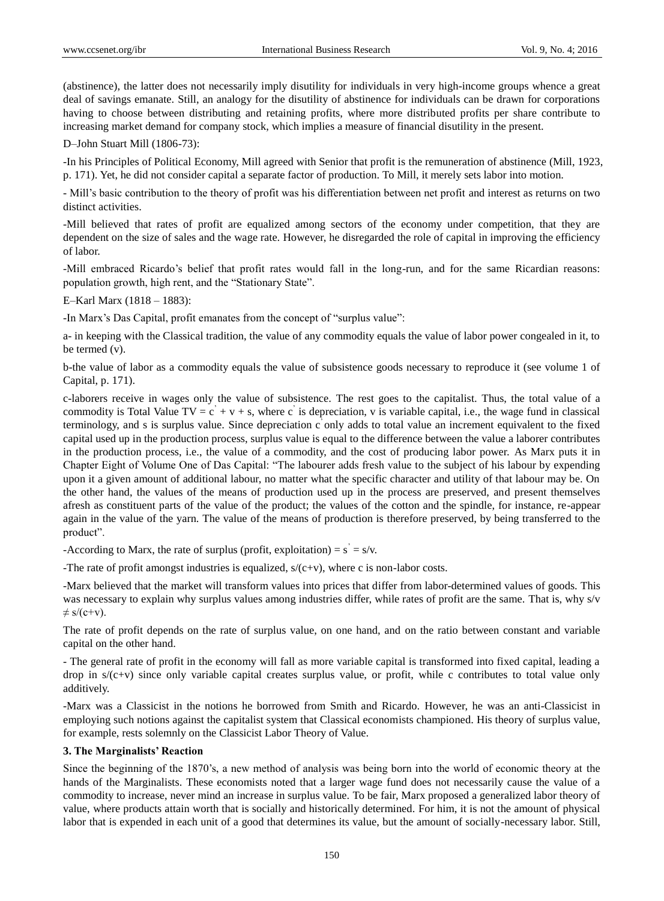(abstinence), the latter does not necessarily imply disutility for individuals in very high-income groups whence a great deal of savings emanate. Still, an analogy for the disutility of abstinence for individuals can be drawn for corporations having to choose between distributing and retaining profits, where more distributed profits per share contribute to increasing market demand for company stock, which implies a measure of financial disutility in the present.

D–John Stuart Mill (1806-73):

-In his Principles of Political Economy, Mill agreed with Senior that profit is the remuneration of abstinence (Mill, 1923, p. 171). Yet, he did not consider capital a separate factor of production. To Mill, it merely sets labor into motion.

- Mill's basic contribution to the theory of profit was his differentiation between net profit and interest as returns on two distinct activities.

-Mill believed that rates of profit are equalized among sectors of the economy under competition, that they are dependent on the size of sales and the wage rate. However, he disregarded the role of capital in improving the efficiency of labor.

-Mill embraced Ricardo's belief that profit rates would fall in the long-run, and for the same Ricardian reasons: population growth, high rent, and the "Stationary State".

E–Karl Marx (1818 – 1883):

-In Marx's Das Capital, profit emanates from the concept of "surplus value":

a- in keeping with the Classical tradition, the value of any commodity equals the value of labor power congealed in it, to be termed (v).

b-the value of labor as a commodity equals the value of subsistence goods necessary to reproduce it (see volume 1 of Capital, p. 171).

c-laborers receive in wages only the value of subsistence. The rest goes to the capitalist. Thus, the total value of a commodity is Total Value TV =  $\vec{c}$  + v + s, where  $\vec{c}$  is depreciation, v is variable capital, i.e., the wage fund in classical terminology, and s is surplus value. Since depreciation c' only adds to total value an increment equivalent to the fixed capital used up in the production process, surplus value is equal to the difference between the value a laborer contributes in the production process, i.e., the value of a commodity, and the cost of producing labor power. As Marx puts it in Chapter Eight of Volume One of Das Capital: "The labourer adds fresh value to the subject of his labour by expending upon it a given amount of additional labour, no matter what the specific character and utility of that labour may be. On the other hand, the values of the means of production used up in the process are preserved, and present themselves afresh as constituent parts of the value of the product; the values of the cotton and the spindle, for instance, re-appear again in the value of the yarn. The value of the means of production is therefore preserved, by being transferred to the product".

-According to Marx, the rate of surplus (profit, exploitation) =  $\vec{s}$  = s/v.

-The rate of profit amongst industries is equalized, s/(c+v), where c is non-labor costs.

-Marx believed that the market will transform values into prices that differ from labor-determined values of goods. This was necessary to explain why surplus values among industries differ, while rates of profit are the same. That is, why s/v  $\neq$  s/(c+v).

The rate of profit depends on the rate of surplus value, on one hand, and on the ratio between constant and variable capital on the other hand.

- The general rate of profit in the economy will fall as more variable capital is transformed into fixed capital, leading a drop in  $s/(c+v)$  since only variable capital creates surplus value, or profit, while c contributes to total value only additively.

-Marx was a Classicist in the notions he borrowed from Smith and Ricardo. However, he was an anti-Classicist in employing such notions against the capitalist system that Classical economists championed. His theory of surplus value, for example, rests solemnly on the Classicist Labor Theory of Value.

#### **3. The Marginalists' Reaction**

Since the beginning of the 1870's, a new method of analysis was being born into the world of economic theory at the hands of the Marginalists. These economists noted that a larger wage fund does not necessarily cause the value of a commodity to increase, never mind an increase in surplus value. To be fair, Marx proposed a generalized labor theory of value, where products attain worth that is socially and historically determined. For him, it is not the amount of physical labor that is expended in each unit of a good that determines its value, but the amount of socially-necessary labor. Still,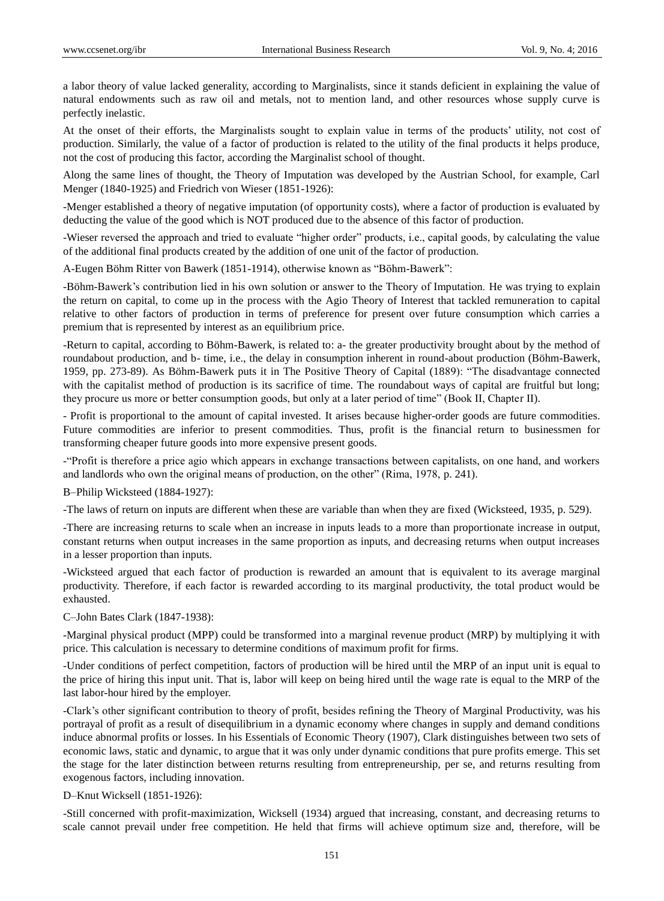a labor theory of value lacked generality, according to Marginalists, since it stands deficient in explaining the value of natural endowments such as raw oil and metals, not to mention land, and other resources whose supply curve is perfectly inelastic.

At the onset of their efforts, the Marginalists sought to explain value in terms of the products' utility, not cost of production. Similarly, the value of a factor of production is related to the utility of the final products it helps produce, not the cost of producing this factor, according the Marginalist school of thought.

Along the same lines of thought, the Theory of Imputation was developed by the Austrian School, for example, Carl Menger (1840-1925) and Friedrich von Wieser (1851-1926):

-Menger established a theory of negative imputation (of opportunity costs), where a factor of production is evaluated by deducting the value of the good which is NOT produced due to the absence of this factor of production.

-Wieser reversed the approach and tried to evaluate "higher order" products, i.e., capital goods, by calculating the value of the additional final products created by the addition of one unit of the factor of production.

A-Eugen Böhm Ritter von Bawerk (1851-1914), otherwise known as "Böhm-Bawerk":

-Böhm-Bawerk's contribution lied in his own solution or answer to the Theory of Imputation. He was trying to explain the return on capital, to come up in the process with the Agio Theory of Interest that tackled remuneration to capital relative to other factors of production in terms of preference for present over future consumption which carries a premium that is represented by interest as an equilibrium price.

-Return to capital, according to Böhm-Bawerk, is related to: a- the greater productivity brought about by the method of roundabout production, and b- time, i.e., the delay in consumption inherent in round-about production (Böhm-Bawerk, 1959, pp. 273-89). As Böhm-Bawerk puts it in The Positive Theory of Capital (1889): "The disadvantage connected with the capitalist method of production is its sacrifice of time. The roundabout ways of capital are fruitful but long; they procure us more or better consumption goods, but only at a later period of time" (Book II, Chapter II).

- Profit is proportional to the amount of capital invested. It arises because higher-order goods are future commodities. Future commodities are inferior to present commodities. Thus, profit is the financial return to businessmen for transforming cheaper future goods into more expensive present goods.

-"Profit is therefore a price agio which appears in exchange transactions between capitalists, on one hand, and workers and landlords who own the original means of production, on the other" (Rima, 1978, p. 241).

B–Philip Wicksteed (1884-1927):

-The laws of return on inputs are different when these are variable than when they are fixed (Wicksteed, 1935, p. 529).

-There are increasing returns to scale when an increase in inputs leads to a more than proportionate increase in output, constant returns when output increases in the same proportion as inputs, and decreasing returns when output increases in a lesser proportion than inputs.

-Wicksteed argued that each factor of production is rewarded an amount that is equivalent to its average marginal productivity. Therefore, if each factor is rewarded according to its marginal productivity, the total product would be exhausted.

#### C–John Bates Clark (1847-1938):

-Marginal physical product (MPP) could be transformed into a marginal revenue product (MRP) by multiplying it with price. This calculation is necessary to determine conditions of maximum profit for firms.

-Under conditions of perfect competition, factors of production will be hired until the MRP of an input unit is equal to the price of hiring this input unit. That is, labor will keep on being hired until the wage rate is equal to the MRP of the last labor-hour hired by the employer.

-Clark's other significant contribution to theory of profit, besides refining the Theory of Marginal Productivity, was his portrayal of profit as a result of disequilibrium in a dynamic economy where changes in supply and demand conditions induce abnormal profits or losses. In his Essentials of Economic Theory (1907), Clark distinguishes between two sets of economic laws, static and dynamic, to argue that it was only under dynamic conditions that pure profits emerge. This set the stage for the later distinction between returns resulting from entrepreneurship, per se, and returns resulting from exogenous factors, including innovation.

D–Knut Wicksell (1851-1926):

-Still concerned with profit-maximization, Wicksell (1934) argued that increasing, constant, and decreasing returns to scale cannot prevail under free competition. He held that firms will achieve optimum size and, therefore, will be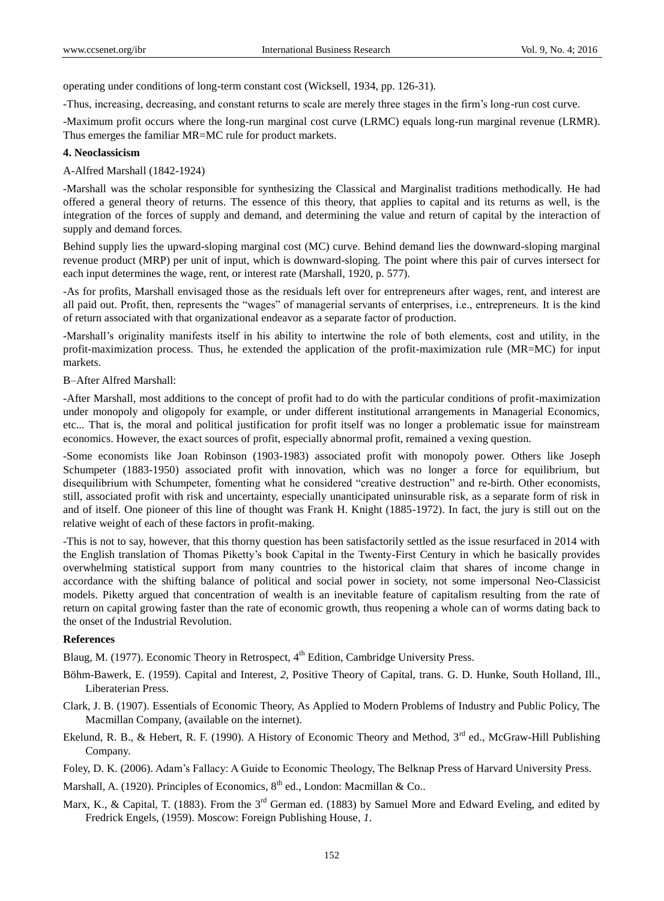operating under conditions of long-term constant cost (Wicksell, 1934, pp. 126-31).

-Thus, increasing, decreasing, and constant returns to scale are merely three stages in the firm's long-run cost curve.

-Maximum profit occurs where the long-run marginal cost curve (LRMC) equals long-run marginal revenue (LRMR). Thus emerges the familiar MR=MC rule for product markets.

## **4. Neoclassicism**

A-Alfred Marshall (1842-1924)

-Marshall was the scholar responsible for synthesizing the Classical and Marginalist traditions methodically. He had offered a general theory of returns. The essence of this theory, that applies to capital and its returns as well, is the integration of the forces of supply and demand, and determining the value and return of capital by the interaction of supply and demand forces.

Behind supply lies the upward-sloping marginal cost (MC) curve. Behind demand lies the downward-sloping marginal revenue product (MRP) per unit of input, which is downward-sloping. The point where this pair of curves intersect for each input determines the wage, rent, or interest rate (Marshall, 1920, p. 577).

-As for profits, Marshall envisaged those as the residuals left over for entrepreneurs after wages, rent, and interest are all paid out. Profit, then, represents the "wages" of managerial servants of enterprises, i.e., entrepreneurs. It is the kind of return associated with that organizational endeavor as a separate factor of production.

-Marshall's originality manifests itself in his ability to intertwine the role of both elements, cost and utility, in the profit-maximization process. Thus, he extended the application of the profit-maximization rule (MR=MC) for input markets.

B–After Alfred Marshall:

-After Marshall, most additions to the concept of profit had to do with the particular conditions of profit-maximization under monopoly and oligopoly for example, or under different institutional arrangements in Managerial Economics, etc... That is, the moral and political justification for profit itself was no longer a problematic issue for mainstream economics. However, the exact sources of profit, especially abnormal profit, remained a vexing question.

-Some economists like Joan Robinson (1903-1983) associated profit with monopoly power. Others like Joseph Schumpeter (1883-1950) associated profit with innovation, which was no longer a force for equilibrium, but disequilibrium with Schumpeter, fomenting what he considered "creative destruction" and re-birth. Other economists, still, associated profit with risk and uncertainty, especially unanticipated uninsurable risk, as a separate form of risk in and of itself. One pioneer of this line of thought was Frank H. Knight (1885-1972). In fact, the jury is still out on the relative weight of each of these factors in profit-making.

-This is not to say, however, that this thorny question has been satisfactorily settled as the issue resurfaced in 2014 with the English translation of Thomas Piketty's book Capital in the Twenty-First Century in which he basically provides overwhelming statistical support from many countries to the historical claim that shares of income change in accordance with the shifting balance of political and social power in society, not some impersonal Neo-Classicist models. Piketty argued that concentration of wealth is an inevitable feature of capitalism resulting from the rate of return on capital growing faster than the rate of economic growth, thus reopening a whole can of worms dating back to the onset of the Industrial Revolution.

### **References**

Blaug, M. (1977). Economic Theory in Retrospect,  $4<sup>th</sup>$  Edition, Cambridge University Press.

- Böhm-Bawerk, E. (1959). Capital and Interest, *2*, Positive Theory of Capital, trans. G. D. Hunke, South Holland, Ill., Liberaterian Press.
- Clark, J. B. (1907). Essentials of Economic Theory, As Applied to Modern Problems of Industry and Public Policy, The Macmillan Company, (available on the internet).
- Ekelund, R. B., & Hebert, R. F. (1990). A History of Economic Theory and Method, 3<sup>rd</sup> ed., McGraw-Hill Publishing Company.

Marshall, A. (1920). Principles of Economics,  $8<sup>th</sup>$  ed., London: Macmillan & Co..

Marx, K., & Capital, T. (1883). From the 3<sup>rd</sup> German ed. (1883) by Samuel More and Edward Eveling, and edited by Fredrick Engels, (1959). Moscow: Foreign Publishing House, *1*.

Foley, D. K. (2006). Adam's Fallacy: A Guide to Economic Theology, The Belknap Press of Harvard University Press.